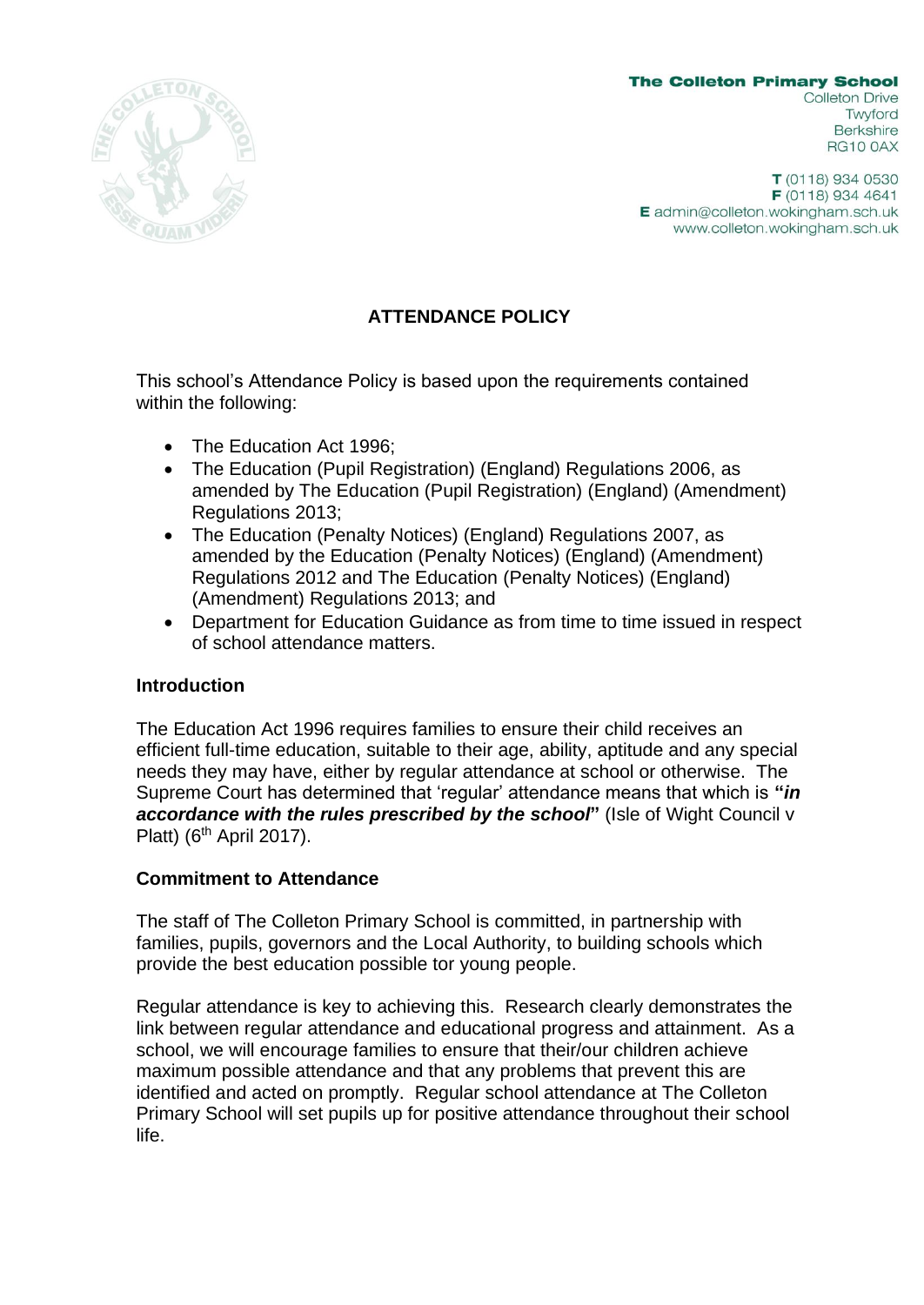

**The Colleton Primary School Colleton Drive** Twyford **Berkshire RG10 0AX** 

 $T(0118)$  934 0530 F (0118) 934 4641 E admin@colleton.wokingham.sch.uk www.colleton.wokingham.sch.uk

# **ATTENDANCE POLICY**

This school's Attendance Policy is based upon the requirements contained within the following:

- The Education Act 1996:
- The Education (Pupil Registration) (England) Regulations 2006, as amended by The Education (Pupil Registration) (England) (Amendment) Regulations 2013;
- The Education (Penalty Notices) (England) Regulations 2007, as amended by the Education (Penalty Notices) (England) (Amendment) Regulations 2012 and The Education (Penalty Notices) (England) (Amendment) Regulations 2013; and
- Department for Education Guidance as from time to time issued in respect of school attendance matters.

#### **Introduction**

The Education Act 1996 requires families to ensure their child receives an efficient full-time education, suitable to their age, ability, aptitude and any special needs they may have, either by regular attendance at school or otherwise. The Supreme Court has determined that 'regular' attendance means that which is **"***in*  **accordance with the rules prescribed by the school"** (Isle of Wight Council v Platt) ( $6<sup>th</sup>$  April 2017).

#### **Commitment to Attendance**

The staff of The Colleton Primary School is committed, in partnership with families, pupils, governors and the Local Authority, to building schools which provide the best education possible tor young people.

Regular attendance is key to achieving this. Research clearly demonstrates the link between regular attendance and educational progress and attainment. As a school, we will encourage families to ensure that their/our children achieve maximum possible attendance and that any problems that prevent this are identified and acted on promptly. Regular school attendance at The Colleton Primary School will set pupils up for positive attendance throughout their school life.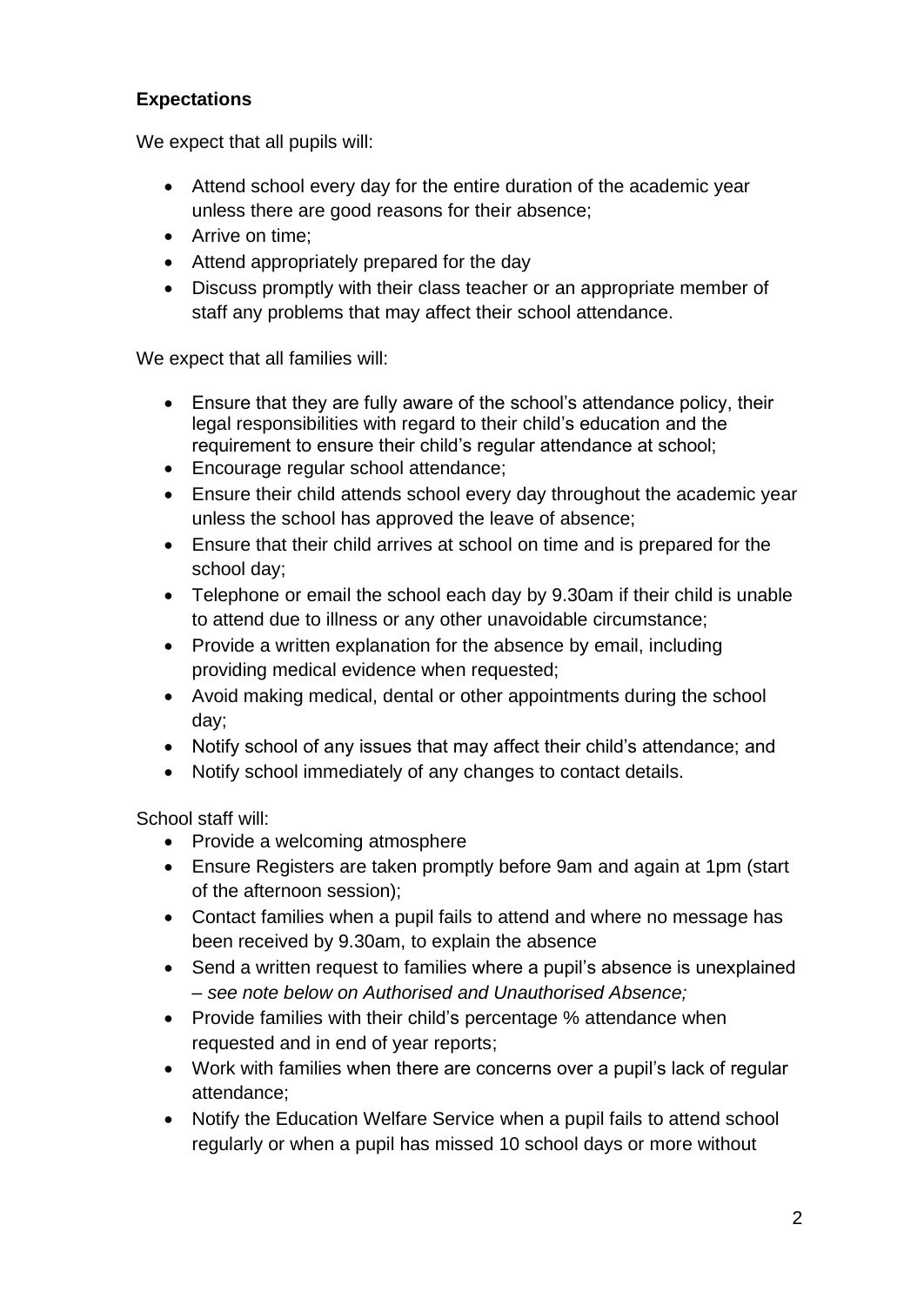# **Expectations**

We expect that all pupils will:

- Attend school every day for the entire duration of the academic year unless there are good reasons for their absence;
- Arrive on time;
- Attend appropriately prepared for the day
- Discuss promptly with their class teacher or an appropriate member of staff any problems that may affect their school attendance.

We expect that all families will:

- Ensure that they are fully aware of the school's attendance policy, their legal responsibilities with regard to their child's education and the requirement to ensure their child's regular attendance at school;
- Encourage regular school attendance;
- Ensure their child attends school every day throughout the academic year unless the school has approved the leave of absence;
- Ensure that their child arrives at school on time and is prepared for the school day;
- Telephone or email the school each day by 9.30am if their child is unable to attend due to illness or any other unavoidable circumstance;
- Provide a written explanation for the absence by email, including providing medical evidence when requested;
- Avoid making medical, dental or other appointments during the school day;
- Notify school of any issues that may affect their child's attendance; and
- Notify school immediately of any changes to contact details.

School staff will:

- Provide a welcoming atmosphere
- Ensure Registers are taken promptly before 9am and again at 1pm (start of the afternoon session);
- Contact families when a pupil fails to attend and where no message has been received by 9.30am, to explain the absence
- Send a written request to families where a pupil's absence is unexplained – *see note below on Authorised and Unauthorised Absence;*
- Provide families with their child's percentage % attendance when requested and in end of year reports;
- Work with families when there are concerns over a pupil's lack of regular attendance;
- Notify the Education Welfare Service when a pupil fails to attend school regularly or when a pupil has missed 10 school days or more without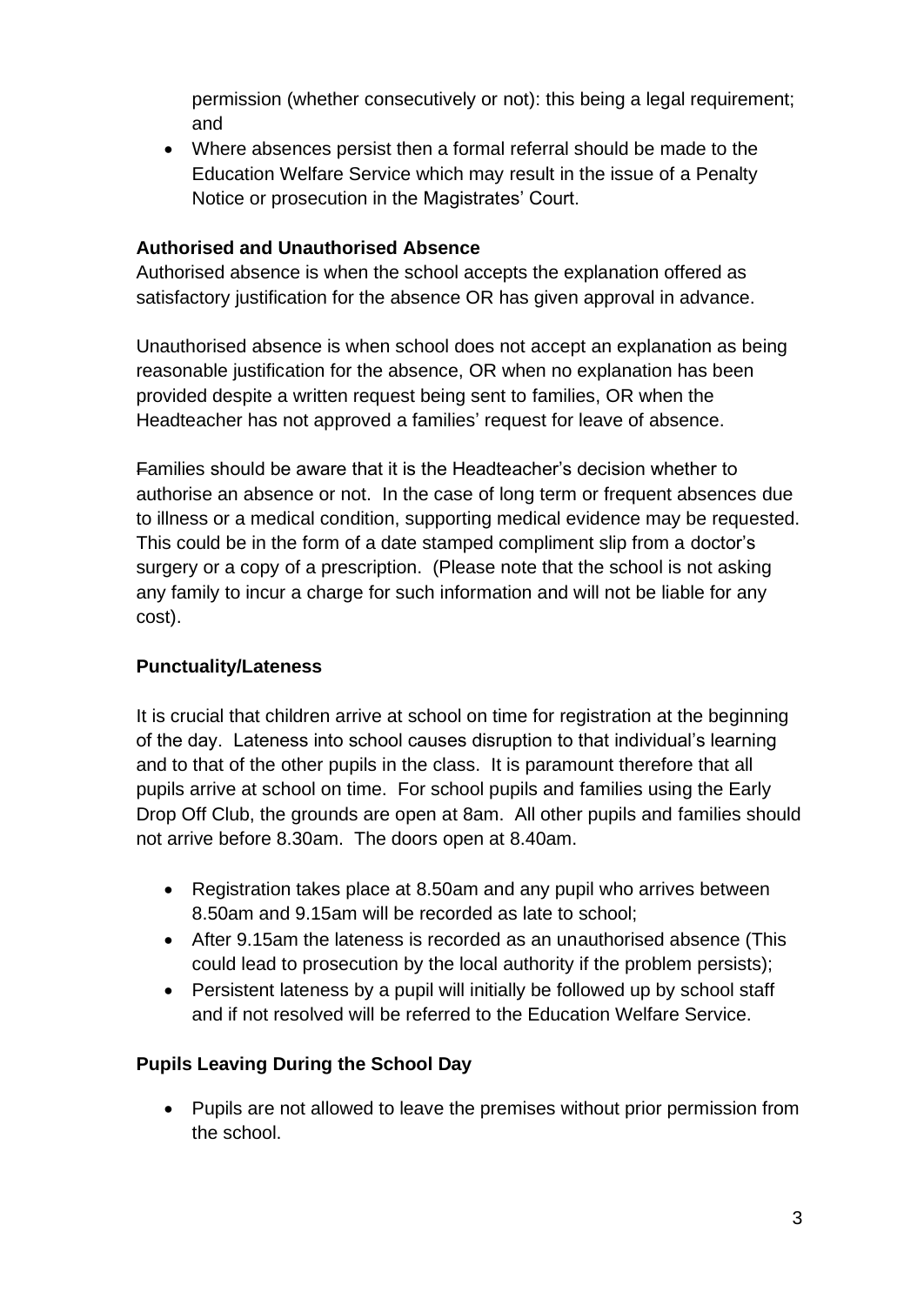permission (whether consecutively or not): this being a legal requirement; and

• Where absences persist then a formal referral should be made to the Education Welfare Service which may result in the issue of a Penalty Notice or prosecution in the Magistrates' Court.

# **Authorised and Unauthorised Absence**

Authorised absence is when the school accepts the explanation offered as satisfactory justification for the absence OR has given approval in advance.

Unauthorised absence is when school does not accept an explanation as being reasonable justification for the absence, OR when no explanation has been provided despite a written request being sent to families, OR when the Headteacher has not approved a families' request for leave of absence.

Families should be aware that it is the Headteacher's decision whether to authorise an absence or not. In the case of long term or frequent absences due to illness or a medical condition, supporting medical evidence may be requested. This could be in the form of a date stamped compliment slip from a doctor's surgery or a copy of a prescription. (Please note that the school is not asking any family to incur a charge for such information and will not be liable for any cost).

# **Punctuality/Lateness**

It is crucial that children arrive at school on time for registration at the beginning of the day. Lateness into school causes disruption to that individual's learning and to that of the other pupils in the class. It is paramount therefore that all pupils arrive at school on time. For school pupils and families using the Early Drop Off Club, the grounds are open at 8am. All other pupils and families should not arrive before 8.30am. The doors open at 8.40am.

- Registration takes place at 8.50am and any pupil who arrives between 8.50am and 9.15am will be recorded as late to school;
- After 9.15am the lateness is recorded as an unauthorised absence (This could lead to prosecution by the local authority if the problem persists);
- Persistent lateness by a pupil will initially be followed up by school staff and if not resolved will be referred to the Education Welfare Service.

# **Pupils Leaving During the School Day**

• Pupils are not allowed to leave the premises without prior permission from the school.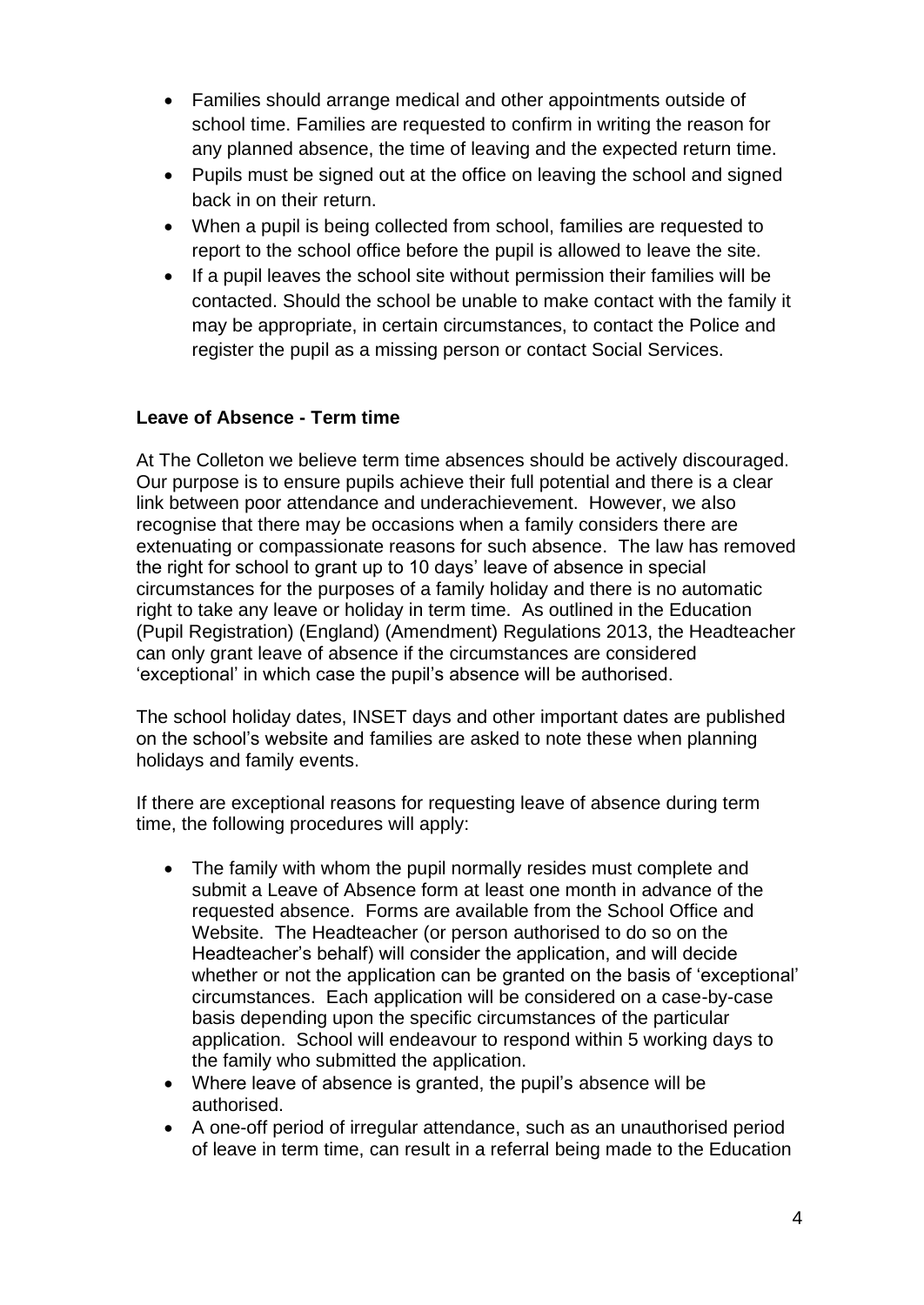- Families should arrange medical and other appointments outside of school time. Families are requested to confirm in writing the reason for any planned absence, the time of leaving and the expected return time.
- Pupils must be signed out at the office on leaving the school and signed back in on their return.
- When a pupil is being collected from school, families are requested to report to the school office before the pupil is allowed to leave the site.
- If a pupil leaves the school site without permission their families will be contacted. Should the school be unable to make contact with the family it may be appropriate, in certain circumstances, to contact the Police and register the pupil as a missing person or contact Social Services.

# **Leave of Absence - Term time**

At The Colleton we believe term time absences should be actively discouraged. Our purpose is to ensure pupils achieve their full potential and there is a clear link between poor attendance and underachievement. However, we also recognise that there may be occasions when a family considers there are extenuating or compassionate reasons for such absence. The law has removed the right for school to grant up to 10 days' leave of absence in special circumstances for the purposes of a family holiday and there is no automatic right to take any leave or holiday in term time. As outlined in the Education (Pupil Registration) (England) (Amendment) Regulations 2013, the Headteacher can only grant leave of absence if the circumstances are considered 'exceptional' in which case the pupil's absence will be authorised.

The school holiday dates, INSET days and other important dates are published on the school's website and families are asked to note these when planning holidays and family events.

If there are exceptional reasons for requesting leave of absence during term time, the following procedures will apply:

- The family with whom the pupil normally resides must complete and submit a Leave of Absence form at least one month in advance of the requested absence. Forms are available from the School Office and Website. The Headteacher (or person authorised to do so on the Headteacher's behalf) will consider the application, and will decide whether or not the application can be granted on the basis of 'exceptional' circumstances. Each application will be considered on a case-by-case basis depending upon the specific circumstances of the particular application. School will endeavour to respond within 5 working days to the family who submitted the application.
- Where leave of absence is granted, the pupil's absence will be authorised.
- A one-off period of irregular attendance, such as an unauthorised period of leave in term time, can result in a referral being made to the Education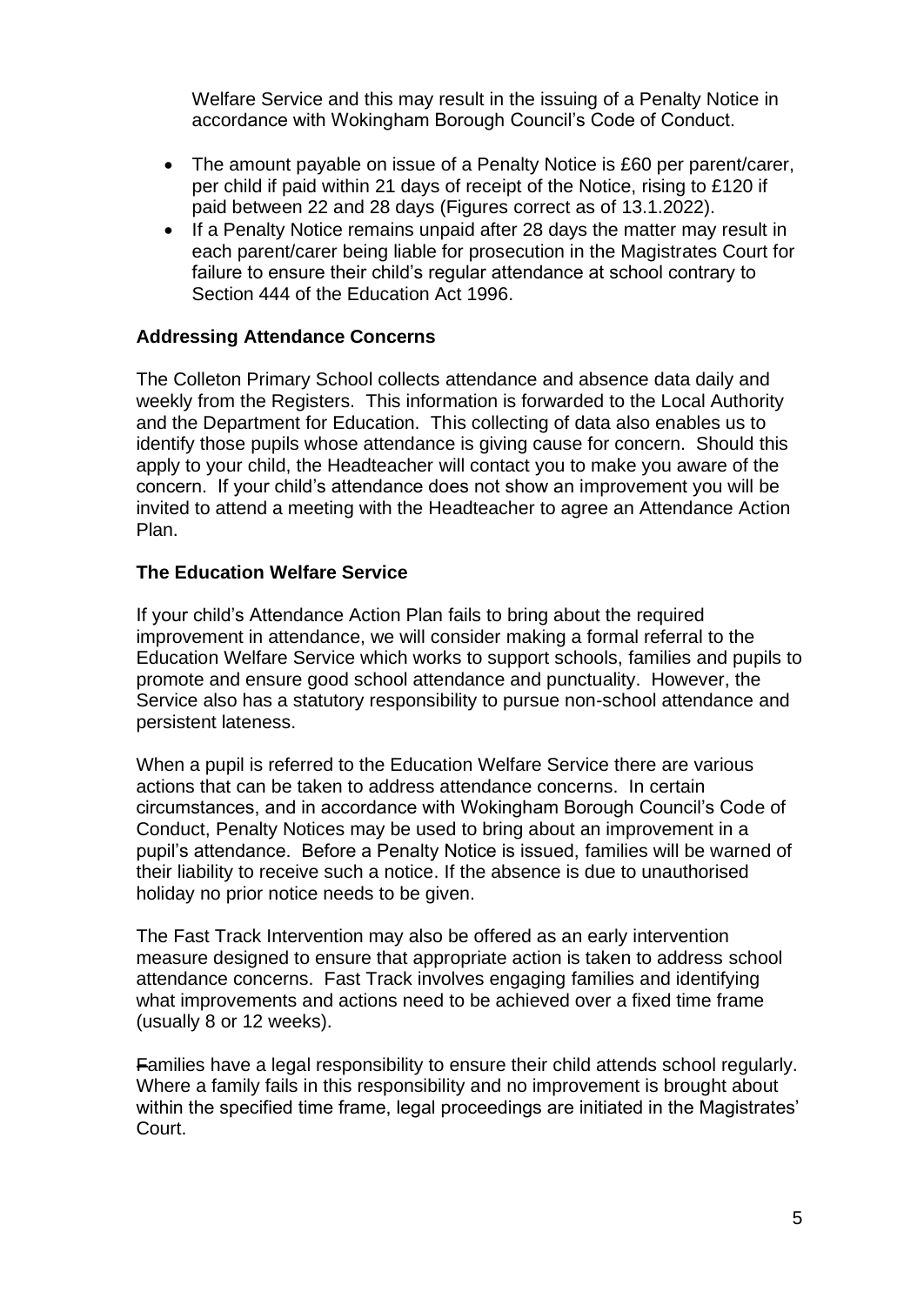Welfare Service and this may result in the issuing of a Penalty Notice in accordance with Wokingham Borough Council's Code of Conduct.

- The amount payable on issue of a Penalty Notice is £60 per parent/carer, per child if paid within 21 days of receipt of the Notice, rising to £120 if paid between 22 and 28 days (Figures correct as of 13.1.2022).
- If a Penalty Notice remains unpaid after 28 days the matter may result in each parent/carer being liable for prosecution in the Magistrates Court for failure to ensure their child's regular attendance at school contrary to Section 444 of the Education Act 1996.

### **Addressing Attendance Concerns**

The Colleton Primary School collects attendance and absence data daily and weekly from the Registers. This information is forwarded to the Local Authority and the Department for Education. This collecting of data also enables us to identify those pupils whose attendance is giving cause for concern. Should this apply to your child, the Headteacher will contact you to make you aware of the concern. If your child's attendance does not show an improvement you will be invited to attend a meeting with the Headteacher to agree an Attendance Action Plan.

### **The Education Welfare Service**

If your child's Attendance Action Plan fails to bring about the required improvement in attendance, we will consider making a formal referral to the Education Welfare Service which works to support schools, families and pupils to promote and ensure good school attendance and punctuality. However, the Service also has a statutory responsibility to pursue non-school attendance and persistent lateness.

When a pupil is referred to the Education Welfare Service there are various actions that can be taken to address attendance concerns. In certain circumstances, and in accordance with Wokingham Borough Council's Code of Conduct, Penalty Notices may be used to bring about an improvement in a pupil's attendance. Before a Penalty Notice is issued, families will be warned of their liability to receive such a notice. If the absence is due to unauthorised holiday no prior notice needs to be given.

The Fast Track Intervention may also be offered as an early intervention measure designed to ensure that appropriate action is taken to address school attendance concerns. Fast Track involves engaging families and identifying what improvements and actions need to be achieved over a fixed time frame (usually 8 or 12 weeks).

Families have a legal responsibility to ensure their child attends school regularly. Where a family fails in this responsibility and no improvement is brought about within the specified time frame, legal proceedings are initiated in the Magistrates' Court.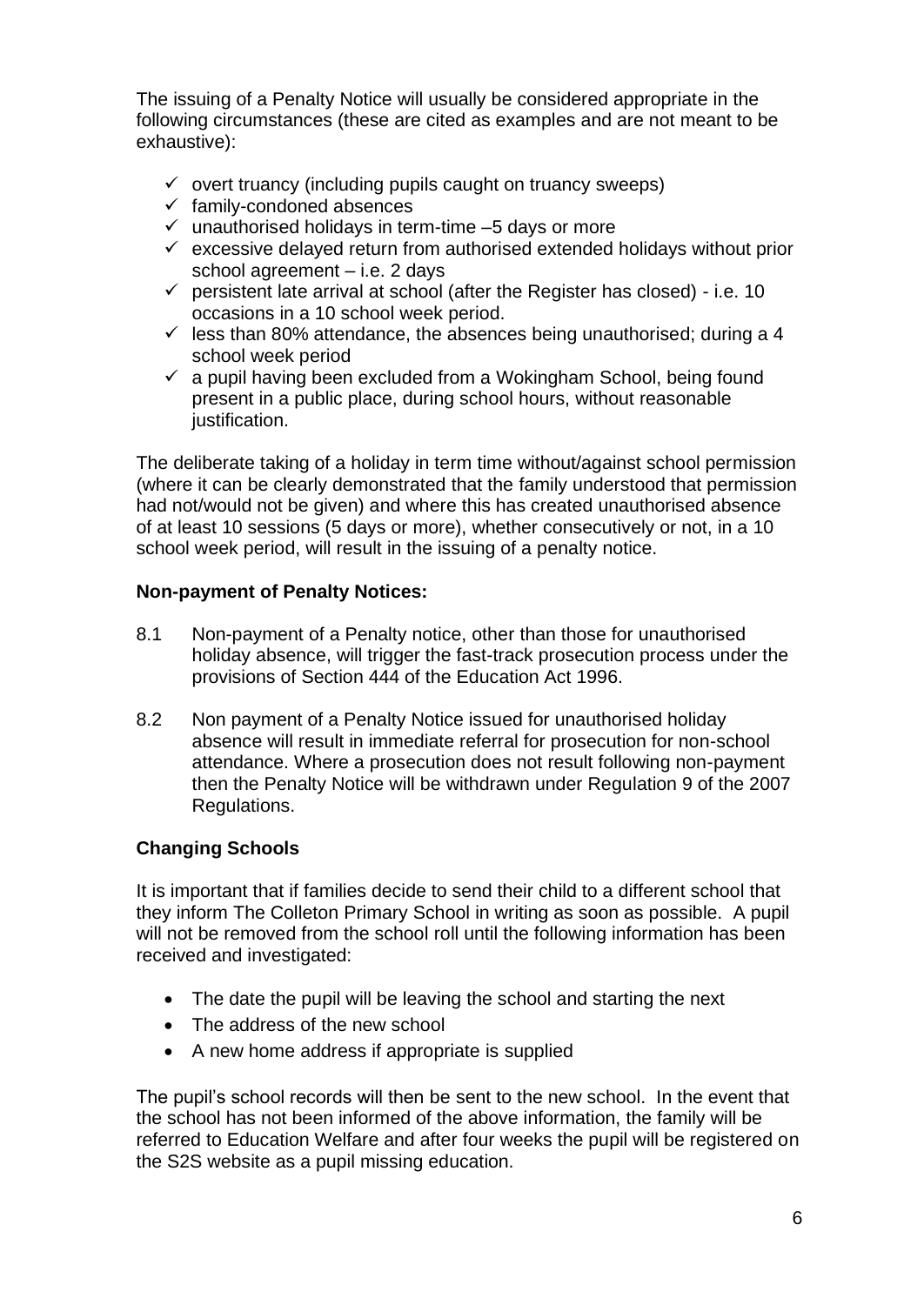The issuing of a Penalty Notice will usually be considered appropriate in the following circumstances (these are cited as examples and are not meant to be exhaustive):

- $\checkmark$  overt truancy (including pupils caught on truancy sweeps)
- $\checkmark$  family-condoned absences
- $\checkmark$  unauthorised holidays in term-time -5 days or more
- $\checkmark$  excessive delayed return from authorised extended holidays without prior school agreement – i.e. 2 days
- $\checkmark$  persistent late arrival at school (after the Register has closed) i.e. 10 occasions in a 10 school week period.
- $\checkmark$  less than 80% attendance, the absences being unauthorised; during a 4 school week period
- $\checkmark$  a pupil having been excluded from a Wokingham School, being found present in a public place, during school hours, without reasonable justification.

The deliberate taking of a holiday in term time without/against school permission (where it can be clearly demonstrated that the family understood that permission had not/would not be given) and where this has created unauthorised absence of at least 10 sessions (5 days or more), whether consecutively or not, in a 10 school week period, will result in the issuing of a penalty notice.

### **Non-payment of Penalty Notices:**

- 8.1 Non-payment of a Penalty notice, other than those for unauthorised holiday absence, will trigger the fast-track prosecution process under the provisions of Section 444 of the Education Act 1996.
- 8.2 Non payment of a Penalty Notice issued for unauthorised holiday absence will result in immediate referral for prosecution for non-school attendance. Where a prosecution does not result following non-payment then the Penalty Notice will be withdrawn under Regulation 9 of the 2007 Regulations.

# **Changing Schools**

It is important that if families decide to send their child to a different school that they inform The Colleton Primary School in writing as soon as possible. A pupil will not be removed from the school roll until the following information has been received and investigated:

- The date the pupil will be leaving the school and starting the next
- The address of the new school
- A new home address if appropriate is supplied

The pupil's school records will then be sent to the new school. In the event that the school has not been informed of the above information, the family will be referred to Education Welfare and after four weeks the pupil will be registered on the S2S website as a pupil missing education.